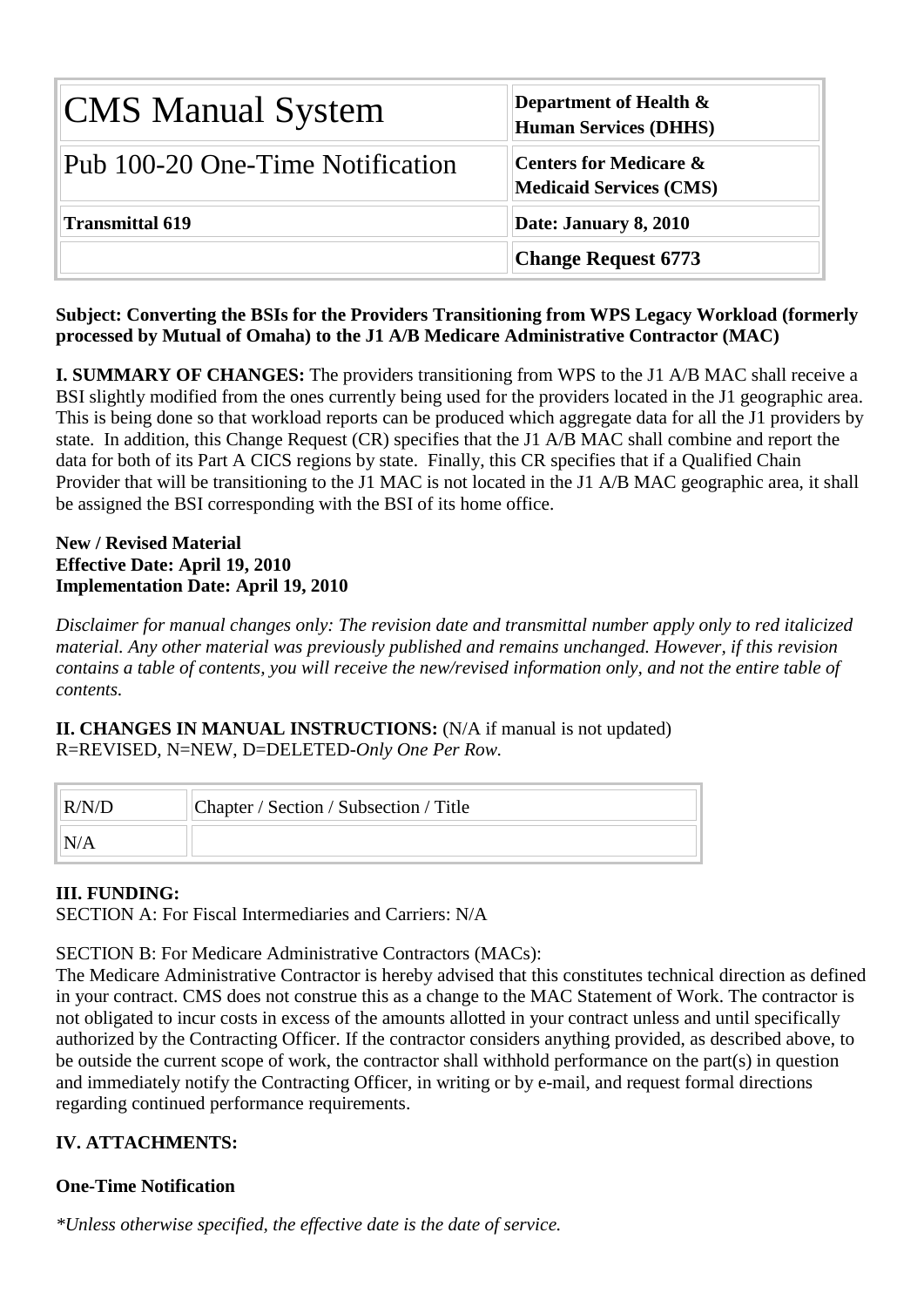| <b>CMS Manual System</b>         | Department of Health $\&$<br><b>Human Services (DHHS)</b>           |  |  |  |  |  |
|----------------------------------|---------------------------------------------------------------------|--|--|--|--|--|
| Pub 100-20 One-Time Notification | <b>Centers for Medicare &amp;</b><br><b>Medicaid Services (CMS)</b> |  |  |  |  |  |
| <b>Transmittal 619</b>           | Date: January 8, 2010                                               |  |  |  |  |  |
|                                  | <b>Change Request 6773</b>                                          |  |  |  |  |  |

### **Subject: Converting the BSIs for the Providers Transitioning from WPS Legacy Workload (formerly processed by Mutual of Omaha) to the J1 A/B Medicare Administrative Contractor (MAC)**

**I. SUMMARY OF CHANGES:** The providers transitioning from WPS to the J1 A/B MAC shall receive a BSI slightly modified from the ones currently being used for the providers located in the J1 geographic area. This is being done so that workload reports can be produced which aggregate data for all the J1 providers by state. In addition, this Change Request (CR) specifies that the J1 A/B MAC shall combine and report the data for both of its Part A CICS regions by state. Finally, this CR specifies that if a Qualified Chain Provider that will be transitioning to the J1 MAC is not located in the J1 A/B MAC geographic area, it shall be assigned the BSI corresponding with the BSI of its home office.

### **New / Revised Material Effective Date: April 19, 2010 Implementation Date: April 19, 2010**

*Disclaimer for manual changes only: The revision date and transmittal number apply only to red italicized material. Any other material was previously published and remains unchanged. However, if this revision contains a table of contents, you will receive the new/revised information only, and not the entire table of contents.*

**II. CHANGES IN MANUAL INSTRUCTIONS:** (N/A if manual is not updated) R=REVISED, N=NEW, D=DELETED-*Only One Per Row.*

| R/N/D | Chapter / Section / Subsection / Title |
|-------|----------------------------------------|
| N/A   |                                        |

# **III. FUNDING:**

SECTION A: For Fiscal Intermediaries and Carriers: N/A

SECTION B: For Medicare Administrative Contractors (MACs):

The Medicare Administrative Contractor is hereby advised that this constitutes technical direction as defined in your contract. CMS does not construe this as a change to the MAC Statement of Work. The contractor is not obligated to incur costs in excess of the amounts allotted in your contract unless and until specifically authorized by the Contracting Officer. If the contractor considers anything provided, as described above, to be outside the current scope of work, the contractor shall withhold performance on the part(s) in question and immediately notify the Contracting Officer, in writing or by e-mail, and request formal directions regarding continued performance requirements.

# **IV. ATTACHMENTS:**

# **One-Time Notification**

*\*Unless otherwise specified, the effective date is the date of service.*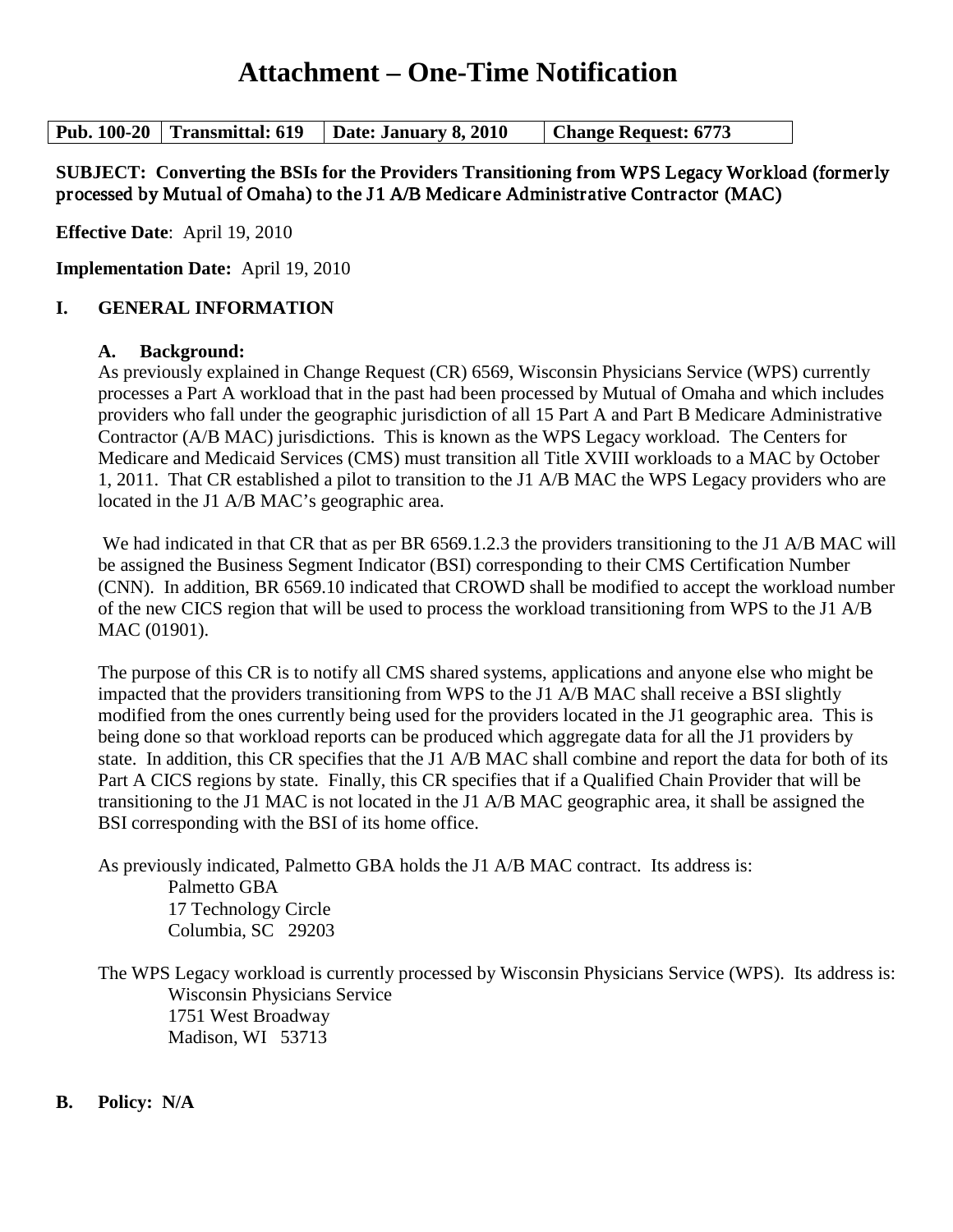# **Attachment – One-Time Notification**

**Pub. 100-20 Transmittal: 619 Date: January 8, 2010 Change Request: 6773**

### **SUBJECT: Converting the BSIs for the Providers Transitioning from** WPS Legacy Workload (formerly processed by Mutual of Omaha) to the J1 A/B Medicare Administrative Contractor (MAC)

**Effective Date**: April 19, 2010

**Implementation Date:** April 19, 2010

### **I. GENERAL INFORMATION**

#### **A. Background:**

As previously explained in Change Request (CR) 6569, Wisconsin Physicians Service (WPS) currently processes a Part A workload that in the past had been processed by Mutual of Omaha and which includes providers who fall under the geographic jurisdiction of all 15 Part A and Part B Medicare Administrative Contractor (A/B MAC) jurisdictions. This is known as the WPS Legacy workload. The Centers for Medicare and Medicaid Services (CMS) must transition all Title XVIII workloads to a MAC by October 1, 2011. That CR established a pilot to transition to the J1 A/B MAC the WPS Legacy providers who are located in the J1 A/B MAC's geographic area.

We had indicated in that CR that as per BR 6569.1.2.3 the providers transitioning to the J1 A/B MAC will be assigned the Business Segment Indicator (BSI) corresponding to their CMS Certification Number (CNN). In addition, BR 6569.10 indicated that CROWD shall be modified to accept the workload number of the new CICS region that will be used to process the workload transitioning from WPS to the J1 A/B MAC (01901).

The purpose of this CR is to notify all CMS shared systems, applications and anyone else who might be impacted that the providers transitioning from WPS to the J1 A/B MAC shall receive a BSI slightly modified from the ones currently being used for the providers located in the J1 geographic area. This is being done so that workload reports can be produced which aggregate data for all the J1 providers by state. In addition, this CR specifies that the J1 A/B MAC shall combine and report the data for both of its Part A CICS regions by state. Finally, this CR specifies that if a Qualified Chain Provider that will be transitioning to the J1 MAC is not located in the J1 A/B MAC geographic area, it shall be assigned the BSI corresponding with the BSI of its home office.

As previously indicated, Palmetto GBA holds the J1 A/B MAC contract. Its address is: Palmetto GBA 17 Technology Circle Columbia, SC 29203

The WPS Legacy workload is currently processed by Wisconsin Physicians Service (WPS). Its address is: Wisconsin Physicians Service 1751 West Broadway Madison, WI 53713

### **B. Policy: N/A**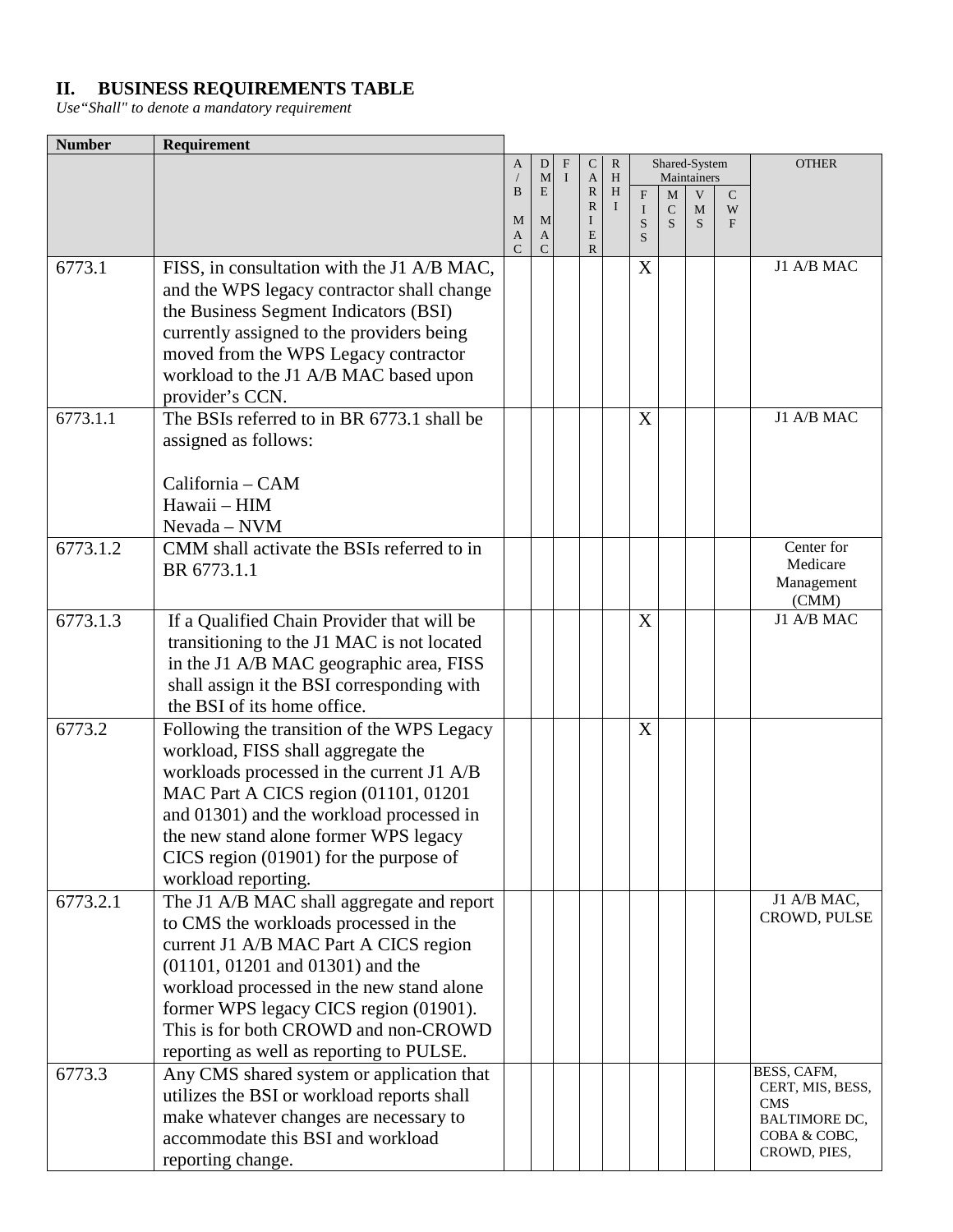# **II. BUSINESS REQUIREMENTS TABLE**

*Use"Shall" to denote a mandatory requirement*

| <b>Number</b> | Requirement                                |              |               |              |              |          |              |               |                  |   |                                |
|---------------|--------------------------------------------|--------------|---------------|--------------|--------------|----------|--------------|---------------|------------------|---|--------------------------------|
|               |                                            | A            | D             | $\mathbf{F}$ | C            | R        |              | Shared-System |                  |   | <b>OTHER</b>                   |
|               |                                            | B            | M<br>E        | $\mathbf I$  | A<br>R       | H<br>H   | $\mathbf{F}$ | M             | Maintainers<br>V | C |                                |
|               |                                            |              |               |              | $\mathbb{R}$ | $\bf{I}$ | I            | $\mathsf{C}$  | M                | W |                                |
|               |                                            | M<br>A       | M<br>A        |              | I<br>E       |          | S<br>S       | S             | S                | F |                                |
|               |                                            | $\mathsf{C}$ | $\mathcal{C}$ |              | $\mathbb{R}$ |          |              |               |                  |   |                                |
| 6773.1        | FISS, in consultation with the J1 A/B MAC, |              |               |              |              |          | X            |               |                  |   | J1 A/B MAC                     |
|               | and the WPS legacy contractor shall change |              |               |              |              |          |              |               |                  |   |                                |
|               | the Business Segment Indicators (BSI)      |              |               |              |              |          |              |               |                  |   |                                |
|               | currently assigned to the providers being  |              |               |              |              |          |              |               |                  |   |                                |
|               | moved from the WPS Legacy contractor       |              |               |              |              |          |              |               |                  |   |                                |
|               | workload to the J1 A/B MAC based upon      |              |               |              |              |          |              |               |                  |   |                                |
|               | provider's CCN.                            |              |               |              |              |          |              |               |                  |   |                                |
| 6773.1.1      | The BSIs referred to in BR 6773.1 shall be |              |               |              |              |          | X            |               |                  |   | J1 A/B MAC                     |
|               | assigned as follows:                       |              |               |              |              |          |              |               |                  |   |                                |
|               |                                            |              |               |              |              |          |              |               |                  |   |                                |
|               | California - CAM                           |              |               |              |              |          |              |               |                  |   |                                |
|               | Hawaii - HIM                               |              |               |              |              |          |              |               |                  |   |                                |
|               | Nevada - NVM                               |              |               |              |              |          |              |               |                  |   |                                |
| 6773.1.2      | CMM shall activate the BSIs referred to in |              |               |              |              |          |              |               |                  |   | Center for                     |
|               | BR 6773.1.1                                |              |               |              |              |          |              |               |                  |   | Medicare<br>Management         |
|               |                                            |              |               |              |              |          |              |               |                  |   | (CMM)                          |
| 6773.1.3      | If a Qualified Chain Provider that will be |              |               |              |              |          | X            |               |                  |   | J1 A/B MAC                     |
|               | transitioning to the J1 MAC is not located |              |               |              |              |          |              |               |                  |   |                                |
|               | in the J1 A/B MAC geographic area, FISS    |              |               |              |              |          |              |               |                  |   |                                |
|               | shall assign it the BSI corresponding with |              |               |              |              |          |              |               |                  |   |                                |
|               | the BSI of its home office.                |              |               |              |              |          |              |               |                  |   |                                |
| 6773.2        | Following the transition of the WPS Legacy |              |               |              |              |          | X            |               |                  |   |                                |
|               | workload, FISS shall aggregate the         |              |               |              |              |          |              |               |                  |   |                                |
|               | workloads processed in the current J1 A/B  |              |               |              |              |          |              |               |                  |   |                                |
|               | MAC Part A CICS region (01101, 01201       |              |               |              |              |          |              |               |                  |   |                                |
|               | and 01301) and the workload processed in   |              |               |              |              |          |              |               |                  |   |                                |
|               | the new stand alone former WPS legacy      |              |               |              |              |          |              |               |                  |   |                                |
|               | CICS region $(01901)$ for the purpose of   |              |               |              |              |          |              |               |                  |   |                                |
|               | workload reporting.                        |              |               |              |              |          |              |               |                  |   |                                |
| 6773.2.1      | The J1 A/B MAC shall aggregate and report  |              |               |              |              |          |              |               |                  |   | J1 A/B MAC,                    |
|               | to CMS the workloads processed in the      |              |               |              |              |          |              |               |                  |   | CROWD, PULSE                   |
|               | current J1 A/B MAC Part A CICS region      |              |               |              |              |          |              |               |                  |   |                                |
|               | $(01101, 01201$ and $01301)$ and the       |              |               |              |              |          |              |               |                  |   |                                |
|               | workload processed in the new stand alone  |              |               |              |              |          |              |               |                  |   |                                |
|               | former WPS legacy CICS region (01901).     |              |               |              |              |          |              |               |                  |   |                                |
|               | This is for both CROWD and non-CROWD       |              |               |              |              |          |              |               |                  |   |                                |
|               | reporting as well as reporting to PULSE.   |              |               |              |              |          |              |               |                  |   |                                |
| 6773.3        | Any CMS shared system or application that  |              |               |              |              |          |              |               |                  |   | BESS, CAFM,                    |
|               | utilizes the BSI or workload reports shall |              |               |              |              |          |              |               |                  |   | CERT, MIS, BESS,<br><b>CMS</b> |
|               | make whatever changes are necessary to     |              |               |              |              |          |              |               |                  |   | <b>BALTIMORE DC,</b>           |
|               | accommodate this BSI and workload          |              |               |              |              |          |              |               |                  |   | COBA & COBC,                   |
|               | reporting change.                          |              |               |              |              |          |              |               |                  |   | CROWD, PIES,                   |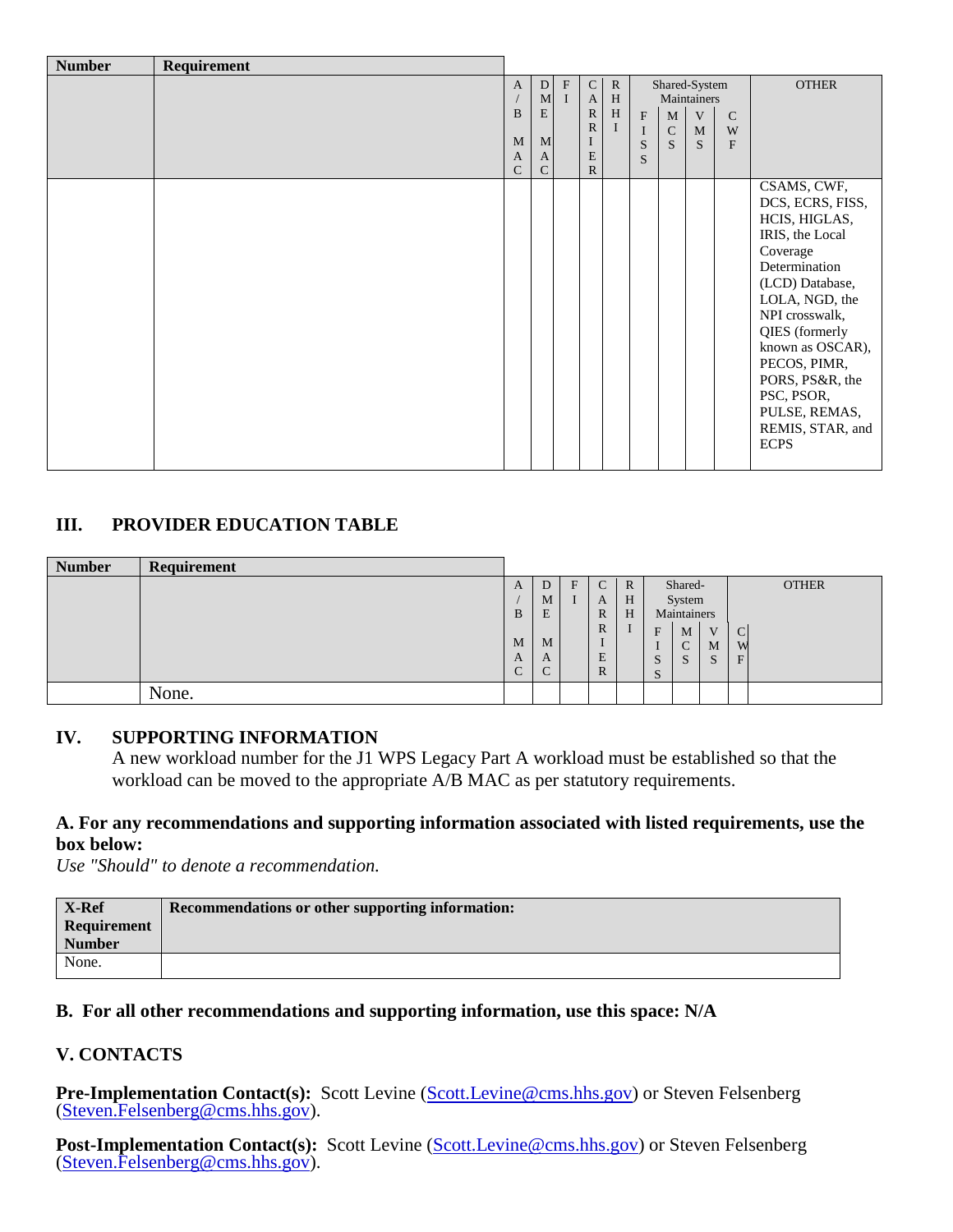| <b>Number</b> | Requirement |                                              |                  |                                          |                                                   |                              |                  |                              |                                  |                                 |                                                                                                                                                                                                                                                                                                    |  |
|---------------|-------------|----------------------------------------------|------------------|------------------------------------------|---------------------------------------------------|------------------------------|------------------|------------------------------|----------------------------------|---------------------------------|----------------------------------------------------------------------------------------------------------------------------------------------------------------------------------------------------------------------------------------------------------------------------------------------------|--|
|               |             | $\mathbf{A}$                                 | D<br>M           | $\boldsymbol{\mathrm{F}}$<br>$\mathbf I$ | $\mathbf C$<br>$\mathbf{A}$                       | $\mathbb{R}$<br>$\, {\rm H}$ |                  | Shared-System<br>Maintainers |                                  |                                 | <b>OTHER</b>                                                                                                                                                                                                                                                                                       |  |
|               |             | $\bf{B}$<br>M<br>$\mathbf{A}$<br>$\mathbf C$ | E<br>M<br>A<br>C |                                          | $\mathbb{R}$<br>$\mathbb{R}$<br>E<br>$\mathbb{R}$ | H<br>$\bf{I}$                | F<br>I<br>S<br>S | M<br>$\mathsf{C}$<br>S.      | V<br>$\mathbf M$<br><sub>S</sub> | $\mathcal{C}$<br>W<br>${\bf F}$ |                                                                                                                                                                                                                                                                                                    |  |
|               |             |                                              |                  |                                          |                                                   |                              |                  |                              |                                  |                                 | CSAMS, CWF,<br>DCS, ECRS, FISS,<br>HCIS, HIGLAS,<br>IRIS, the Local<br>Coverage<br>Determination<br>(LCD) Database,<br>LOLA, NGD, the<br>NPI crosswalk,<br>QIES (formerly<br>known as OSCAR),<br>PECOS, PIMR,<br>PORS, PS&R, the<br>PSC, PSOR,<br>PULSE, REMAS,<br>REMIS, STAR, and<br><b>ECPS</b> |  |

### **III. PROVIDER EDUCATION TABLE**

| <b>Number</b> | Requirement |             |   |   |              |              |                                       |              |              |
|---------------|-------------|-------------|---|---|--------------|--------------|---------------------------------------|--------------|--------------|
|               |             | A           | D | F | C            | $\mathbb{R}$ | Shared-                               |              | <b>OTHER</b> |
|               |             |             | M |   | A            | H            | System                                |              |              |
|               |             | B           | E |   | R            | H            | Maintainers                           |              |              |
|               |             |             |   |   | $\mathbb{R}$ |              | F<br>M                                | $\mathbf{L}$ | ╰            |
|               |             | M           | M |   |              |              | $\sim$<br>◡                           | M            | W            |
|               |             | A           | A |   | E            |              | $\sim$<br>$\sim$<br>$\mathbf{p}$<br>د | <sub>S</sub> | F            |
|               |             | $\sim$<br>U |   |   | $\mathbb{R}$ |              | $\sim$<br><u>ົບ</u>                   |              |              |
|               | None.       |             |   |   |              |              |                                       |              |              |

### **IV. SUPPORTING INFORMATION**

A new workload number for the J1 WPS Legacy Part A workload must be established so that the workload can be moved to the appropriate A/B MAC as per statutory requirements.

### **A. For any recommendations and supporting information associated with listed requirements, use the box below:**

*Use "Should" to denote a recommendation.*

| Recommendations or other supporting information: |
|--------------------------------------------------|
|                                                  |
|                                                  |
|                                                  |
|                                                  |

### **B. For all other recommendations and supporting information, use this space: N/A**

### **V. CONTACTS**

**Pre-Implementation Contact(s):** Scott Levine [\(Scott.Levine@cms.hhs.gov\)](mailto:Scott.Levine@cms.hhs.gov) or Steven Felsenberg [\(Steven.Felsenberg@cms.hhs.gov\)](mailto:Steven.Felsenberg@cms.hhs.gov).

**Post-Implementation Contact(s):** Scott Levine [\(Scott.Levine@cms.hhs.gov\)](mailto:Scott.Levine@cms.hhs.gov) or Steven Felsenberg [\(Steven.Felsenberg@cms.hhs.gov\)](mailto:Steven.Felsenberg@cms.hhs.gov).